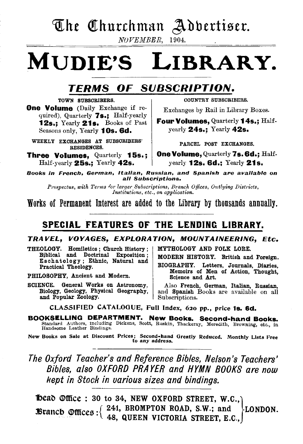## The Churchman Adbertiser.

*NOVEMBER,* 1904.

# MUDIE'S LIBRARY.

### TERMS OF SUBSCRIPTION.

TOWN SUBSCRIBERS. **One Volume** (Daily Exchange if required), Quarterly 7s.; Half-yearly 12s.; Yearly 21s. Books of Past

Seasons only, Yearly 10s. 6d.

WEEKLY EXCHANGES AT SUBSCRIBERS' RESIDENCES.

Three Volumes, Quarterly 15s.; Half-yearly 25s.; Yearly 42s.

COUNTRY SUBSCRIBERS.

Exchanges by Rail in Library Boxes.

Four Volumes, Quarterly 14s.; Halfyearly 24s.; Yearly 42s.

PARCEL POST EXCHANGES.

One Volume, Quarterly 7s. 6d.: Halfyearly 12s. 6d.; Yearly 21s.

Books in French, German, Italian, Russian, and Spanish are available on all Subscriptions.

*Prospectus, with Terms for larger Subscriptions, Branch Offices, Outlying Districts, Institutions, etc., on application.* 

Works of Permanent Interest are added to the Library by thousands annually.

### SPECIAL FEATURES OF THE LENDING LIBRARY.

TRAVEL, VOYAGES, EXPLORATION, MOUNTAINEERING, Etc.

THEOLOGY. Homiletics ; Church History ; Biblical and Doctrinal Exposition ; Eschatology; Ethnic, Natural and Practical Theology.

PHILOSOPHY, Ancient and Modem.

SCIENCE. General Works on Astronomy, Also French, German, Italian, Russian, Biology, Geology, Physical Geography, and Spanish Books are available on all and Popular Zoology.

MYTHOLOGY AND FOLK LORE.

MODERN HISTORY. British and Foreign.

BIOGRAPHY. Letters, Journals, Diaries, Memoirs of Men of Action, Thought, Science and Art.

and Spanish Books are available on all Subscriptions.

CLASSIFIED CATALOGUE, Full Index, 62o pp., price 1s. 6d.

BOOKSELLING DEPARTMENT. New Books. Second-hand Books. Standard Authors, including Dickens, Scott, Ruskin, Thackeray, Meredith, Browning, etc., in Handsome Leather Bindings.

New Books on Sale at Discount Prices; Second-hand Greatly Reduced, Monthly Lists Free<br>to any address,

*The Oxford Teacher's and Reference Bibles, Nelson's Teachers' Bibles, also OXFORD PRAYER and HYMN BOOKS are now kept in Stock in various sizes and bindings.* 

beab ®fftce : 30 to 34, NEW OXFORD STREET, W.C.,} **Example 6 In Eq. (341, BROMPTON ROAD, S.W.; and FLONDON.**  $\sim$   $\sim$   $\sim$   $\sim$   $\sim$   $\sim$  48, QUEEN VICTORIA STREET, E.C.,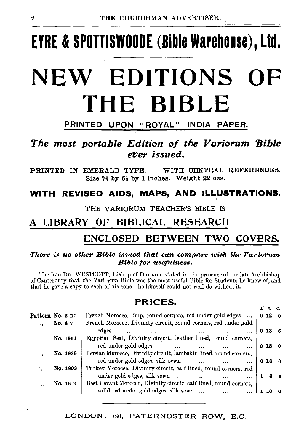# EYRE & SPOTTISWOODE (Bible Warehouse), Ltd.

# NEW EDITIONS OF THE BIBLE

#### PRINTED UPON ''ROYAL" INDIA PAPER.

### *The most portable Edition of the Variorum 'Bible*   $e$ *ver issued.*

PRINTED IN EMERALD TYPE. WITH CENTRAL REFERENCES. Size  $7\frac{2}{9}$  by  $5\frac{1}{2}$  by 1 inches. Weight 22 ozs.

#### WITH REVISED AIDS, MAPS, AND ILLUSTRATIONS.

#### THE VARIORUM TEACHER'S BIBLE IS

### A LIBRARY OF BIBLICAL RESEARCH

### ENCLOSED BETWEEN TWO COVERS.

#### *There is no other Bible issued that can compare with the Variorum Bible for usefulness.*

The late DR. WESTCOTT, Bishop of Durham, stated in the presence of the late Archbishop of Canterbury that the Variorum Bible was the most useful Bible for Students he knew of, and that he gave a copy to each of his sons-he himself could not well do without it.

#### PRICES.

|                      |                           |                                                                   | $\pounds$ s. d. |                |
|----------------------|---------------------------|-------------------------------------------------------------------|-----------------|----------------|
|                      | Pattern No. 2 $_{\rm RC}$ | French Morocco, limp, round corners, red under gold edges         | 0120            |                |
| .,                   | No. $4Y$                  | French Morocco, Divinity circuit, round corners, red under gold   |                 |                |
|                      |                           | edges<br>$\sim$ 100 $\sim$<br>$\sim$ 100 $\mu$<br>$\cdots$        | 0136            |                |
| $, \,$               | No. 1901                  | Egyptian Seal, Divinity circuit, leather lined, round corners,    |                 |                |
|                      |                           | red under gold edges<br>$\cdots$                                  | 0150            |                |
| $\cdot$              | No. 1938                  | Persian Morocco, Divinity circuit, lambskin lined, round corners, |                 |                |
|                      |                           | red under gold edges, silk sewn                                   | 0166            |                |
| $\ddot{\phantom{1}}$ | No. 1903                  | Turkey Morocco, Divinity circuit, calf lined, round corners, red  |                 |                |
|                      |                           | under gold edges, silk sewn                                       |                 | 6 <sub>6</sub> |
| $\bullet$            | <b>No. 16 в</b>           | Best Levant Morocco, Divinity circuit, calf lined, round corners, |                 |                |
|                      |                           | solid red under gold edges, silk sewn<br>$\sim$ 100 $\mu$         |                 |                |
|                      |                           |                                                                   |                 |                |

#### LONDON: 33, PATERNOSTER ROW, E.C.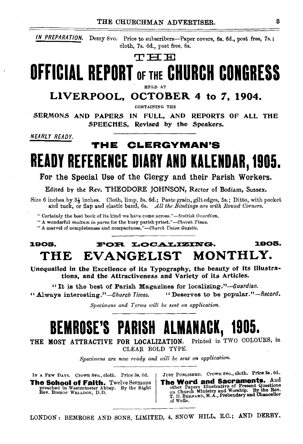*IN PREPARATION.* Demy Svo. Price to subscribers-Paper covers, 6s. 6d., post free, 7s.; cloth, 7s. 6d., post free, 8s.

#### ${\rm T} \to {\rm T}$

# OFFICIAL REPORT OF THE CHURCH CONGRESS

## LIVERPOOL, OCTOBER 4 to 7, 1904.

.SERMONS AND PAPERS IN FULL, AND REPORTS OF ALL THE SPEECHES. Revised by the Speakers.

*NEARLY READY.* 

### THE CLERGYMAN'S READY REFERENCE DIARY AND KALENDAR, 1905.

For the Special Use of the Clergy and their Parish Workers.

Edited bv the Rev. THEODORE JOHNSON. Rector of Bodiam. Sussex.

Size 6 inches by  $3\frac{1}{2}$  inches. Cloth, limp, 3s. 6d.; Paste grain, gilt edges, 5s.; Ditto, with pocket and tuck, or flap and elastic band, 6s. *All the Bindings are with Round Corners*.

"Certainly the best book of its kind we ha'\e come *across."-Scottish Guardian.* 

''A wonderful *multum in parvo* for the busy parish *priest."-Chureh l'imes.* 

"A marvel of completeness and *compactness."-Church Union GaZette.* 

### 1905. : FOR LOCALIZING. 1905. THE EVANGELIST MONTHLY.

Unequalled in the Excellence of its Typography, the beauty of its Illustrations, and the Attractiveness and Variety of its Articles.

"It is the best of Parish Magazines for localizing."-Guardian. "Always interesting."-Church *Times.* "Deserves to be popular."-Record.

*Specimens and Terms will be sent on application.* 

# BEMROSE'S PARISH ALMANACK, 1905.

THE MOST ATTRACTIVE FOR LOCALIZATION. Printed in TWO COLOURS, in CLEAR BOLD TYPE.

*Specimens are now ready and will be sent on application.* 

IN A FEw DAYS. Crown Svo., cloth. Price 3s. 6d. The School of Faith. Twelve Sermons preached in Westminster Abbey. By the Right Rev. BISHOP WELLDON, D.D.

JUST PUBLISHED. Crown 8vo., cloth. Price 3s. 6d.<br>The Word and Sacraments. And The Word and Sacraments. The Word and Sacraments. The Papers Illustrative of Present Questions on Church Ministry and Worship. By the Rev. T. D. BERNARD, M.A., Prebendary and Chancellor of Welt..

LONDON: BEMROSE AND SONS, LIMITED, 4, SNOW HILL, E.C.; AND DERBY.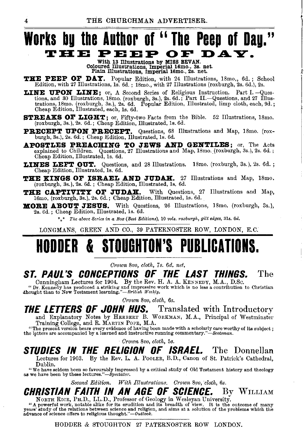### **Works bg the Author of " The Peep of Dag." THE PEEP OF DAY.**

With 13 Illustrations by MISS BEVAN. Coloured Illustrations, Imperial 16mo., 3s. net. Plain Illustrations, Imperial 16mo., 2s. net.

THE PEEP OF DAY. Popular Edition, with 24 Illustrations, 18mo,, 6d.; School Edition, with 27 Illustrations, ls. 6d. ; 18mo., with 27 Illustrations (roxburgh, 2s. 6d.), 2s.

LINE UPON LINE; or, A Second Series of Religious Instruction. Part I. - Questions, and 30 Illustrations, 18mo. (roxburgh, 3s.), 2s. 6d.; Part II.—Questions, and 27 Illustrations, 18mo. (roxburgh, 3s.), 2s. 6d. Popular Edition, Illustrated, limp cloth, each, 9d.; Cheap Edition, Illustrated, each, 1

STREAXS OF LIGHT; or, Fifty-two Facts from the Bible. 52 Illustrations, 18mo. (roxburgh, 3s. ), 2s. 6d.; Cheap Edition, Illustrated, ls. 6d.

PRECEPT UPON PRECEPT. Questions, 68 Illustrations and Map, 18mo. (roxburgh, 3s.), 2s. 6d.; Cheap Edition, Illustrated, ls. 6d.

APOSTLES PREACHING TO JEWS AND GENTILES; or, The Acts explained to Children. Questions, 27 Illustrations and Map, 18mo. (roxburgh, 3s.), 2s. 6d.; Cheap Edition, Illustrated, ls. 6d.

LINES LEFT OUT. Questions, and 28 Illustrations. 18mo. (roxburgh, 3s.), 2s. 6d.; Cheap Edition, Illustrated, ls. 6d.

THE KINGS OF ISRAEL AND JUDAH. 27 Illustrations and Map, 18mo. (roxburgh, 3s. ), 2s. 6d. ; Cheap Edition, Illustrated, ls, 6d.

THE CAPTIVITY OF JUDAH. With Questions, 27 Illustrations and Map, 16mo. (roxburgh, 3s.), 2s. 6d.; Cheap Edition, Illustrated, 1s. 6d.

**MORE ABOUT JESUS.** With Questions, 26 Illustrations, 18mo. (roxburgh, 3s.), 2s. 6d. ; Cheap Edition, Illustrated, ls. 6d.

\*\* \* *The above Series in a Box (Best Editions),* 10 *vols. roxburgh, gilt edges,* Bls. *6d.* 

LONGMANS, GREEN AND CO., 39 PATERNOSTER ROW, LONDON, E.C.

# **IDER & STOUGHTON'S PUBLICAT**

*Grown 8vo, cloth, 7s. 6d. net,* 

### ST. PAUL'S CONCEPTIONS OF THE LAST THINGS. The Cunningham Lectures for 1904. By the Rev. H. A. A. KENNEDY, M.A., D.Sc.

Continued a striking and impressive work which is no less a contribution to Christian thought than to New Testament learning."—British Weekly.

*Grown 8vo, cloth, 6s.* 

**THE LETTERS OF JOHN HUS.** Translated with Introductory and Explanatory Notes by HERBERT B. WoRKMAN, M.A., Principal of Westminster

"The present version bears every evidence of having been made with a scholarly care worthy of its subject;<br>the letters are accompanied by a learned and instructive running commentary."—Scotsman.

- *Grown 8vo, cloth, 5s.* 

### STUDIES IN THE RELIGION OF ISRAEL. The Donnellan

Lectures for 1903. By the Rev. L. A. PooLER, B.D., Canon of St. Patrick's Cathedral,

Dublin. "We have seldom been so favourably Impressed by a critical study of Old Testament history and theology as we have been by these lectures." *-Spectatm·.* 

*Second Edition.* With Illustrations. Crown 8vo, cloth, 6s.

### CHRISTIAN FAITH IN AN AGE OF SCIENCE. By WILLIAM

NORTH RICE, PH.D., LL.D., Professor of Geology in Wesleyan University.<br>"A powerful work, notable alike for its erudition and its breadth of view. It is the outcome of many years' study of the relations between science and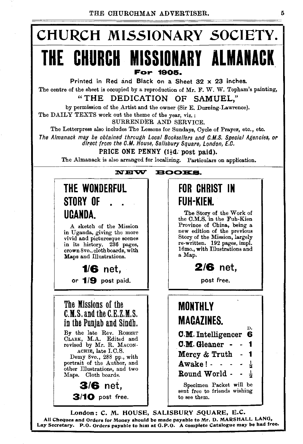

London: C. M. HOUSE, SALISBURY SQUARE, E.C. All Cheques and Orders for Money should be made payable to Mr. D. MARSHALL LANG, Lay Secretary. P.O. Orders payable to him at G. P.O. A complete Catalogue may be had free.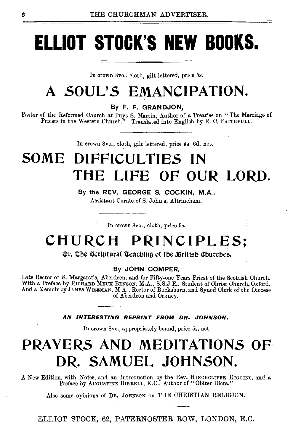# **ELLIOT STOCK'S NEW BOOKS.**

In crown Svo., cloth, gilt lettered, price 5s.

## **A SOUL'S EMANCIPATION.**

By F. F. GRANDJON,

Pastor of the Reformed Church at Puys S. Martin, Author of a Treatise on " The Marriage of Priests in the Western Church." Translated into English by R. C. FAITHFULL.

In crown Svo., cloth, gilt lettered, price 4s. 6d. net.

## **SOME DIFFICULTIES IN THE LIFE OF OUR LORD.**

By the REV. GEORGE S. COCKIN, M.A., Assistant Curate of S. John's, Altrincham.

In crown Svo., cloth, price 5s.

### **CHURCH PRINCIPLES;**

#### **Or, The Scriptural Teaching of the British Churches.**

#### By JOHN COMPER,

Late Rector of S. Margaret's, Aberdeen, and for Fifty-one Years Priest of the Scottish Church. With a Preface by RICHARD MEUX BENSON, M.A., S.S.J.E., Student of Christ Church, Oxford. And a Memoir by JAMES WISEMAN, M.A., Rector of Bucksburn, and Synod Clerk of the Diocese of Aberdeen and Orkney.

#### AN INTERESTING REPRINT FROM DR. JOHNSON.

In crown Svo., appropriately bound, price 5s. net.

### **PRAYERS AND MEDITATIONS OF DR. SAMUEL JOHNSON.**

A New Edition, with Notes, and an Introduction by the Rev. HINCHCLIFFE HIGGINS, and a Preface by AuGUSTINE BIRRELL, K.C., Author of "Obiter Dicta."

Also some opinions of DR. JOHNSON on THE CHRISTIAN RELIGION.

ELLIOT STOCK, 62, PATERNOSTER ROW, LONDON, E.C.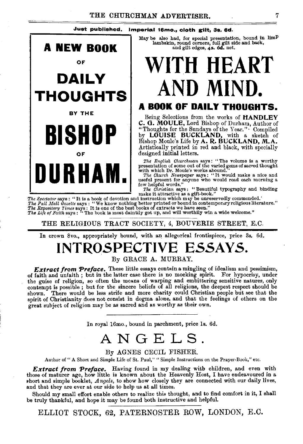#### Just published. Imperial 16mo., cloth gilt, 3s. 6d.



May be also had, for special presentation, bound in limP lambskin, round corners, full gilt side and back, and gilt edges, *4s.* 6d. net.

# **WITH HEART AND MIND.**

### **A BOOK OF DAILY THOUGHTS.**

Being Selections from the works of HANDLEY C. 0. MOULE, Lord Bishop of Durham, Author of "Thoughts for the Sundays of the Year.'' • Compiled by LOUISE BUCKLAND, with a sketch of Bishop Moule's Life by A. R. BUCKLAND, M.A. Artistically printed in red and black, with speciallv designed initial letters.

*The English Churchman* says: "The volume is a worthy presentation of some out of the varied gens of sacred thought

presentation of some out of the varied gems of sacred thought<br>with which Dr. Moule's works abound."<br>The Church Newspaper says: "It would make a nice and<br>useful present for anyone who would read each morning a<br>few helpful w

 $\begin{tabular}{ l|c|c|c} \hline \multicolumn{3}{c}{\textbf{The}\xspace System} \hline \multicolumn{3}{c}{The\xspace \textbf{F} is a book of the deviation and has a full-body model.} \hline \multicolumn{3}{c}{The\xspace \textbf{F} is a book of the deviation and has a full-body connection.} \hline \multicolumn{3}{c}{The\xspace \textbf{F} is a book of the best is a list-to-down of the best is a list-to-down of the network.} \hline \multicolumn{3}{c}{The\xspace \textbf{F} is a key: ``We know nothing better printed or bound in contemporary religious literature."} \hline \multicolumn{3}{c}{The\xspace \textbf{F} is a key and$ 

THE RELIGIOUS TRACT SOCIETY, 4, BOUVERIE STREET, E.C.

In crown Svo., appropriately bound, with an allegorical frontispiece, price 3s. 6d.

### **INTROSPECTIVE E55AY5.**  By GRACE A. MURRAY.

**Extract from Preface.** These little essays contain a mingling of idealism and pessimism, of faith and unfaith; but in the latter case there is no mocking spirit. For hypocrisy, under the guise of religion, so often the means of warping and embittering sensitive natures, only contempt is possible; but for the sincere beliefs of all religions, the deepest respect should be shown. There would be less strife and more charity could Christian people but see that the spirit of Christianity does not consist in dogma alone, and that the feelings of others on the great subject of religion may be as sacred and as worthy as their own.

In royal 16mo., bound in parchment, price ls. 6d.

### ANGELS.

#### By AGNES CECIL FISHER.

Author of " A Short and Simple Life of St. Paul," "Simple Instructions on the Prayer-Book," etc.

*Extract from 'Preface.* Having found in my dealing with children, and even with those of maturer age, how little is known about the Heavenly Host, I have endeavoured in a short and simple booklet, *Angels,* to show how closely they are connected with our daily lives, and that they are ever at our side to help us at all times.

Should my small effort enable others to realize this thought, and to find comfort in it, I shall be truly thankful, and hope it may be found both instructive and helpful.

ELLIOT STOCK, 62, PATERNOSTER ROW, LONDON, E.C.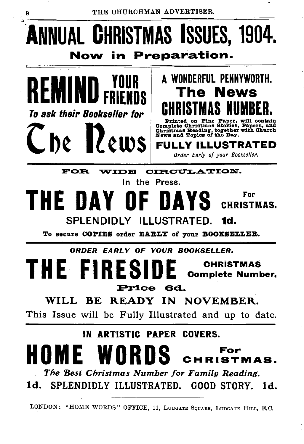### ~~======================================= UAL **C**HRISTMAS ISSUES, 1904. Now in Preparation.



### A WONDERFUL PENNYWORTH. The News CHRISTMAS NUMBER.

Printed on Pine Paper, will contain Complete Christmas Stories, Papers, and Christmas Beading, together with Church lll'ews and Topics of the Day.

JLLY ILLUSTRATED *Order Early of your Bookseller.* 

FOR WIDE CIRCULATION.

### In the Press. HE DAY OF DAYS  $G_{\text{LPRISTMAS}}$ SPLENDIDLY ILLUSTRATED.

To secure COPIES order EARLY of your BOOKSELLER.

*ORDER EARLY OF YOUR BOOKSELLER.* 

### THE **CHRISTMAS Complete Number.** Price 6d.

### WILL BE READY IN NOVEMBER.

This Issue will be Fully Illustrated and up to date.

### IN ARTISTIC PAPER COVERS.

### HOME WORDS CHRISTE For<br>IRISTMAS.

The Best Christmas Number for Family Reading. ld. SPLENDIDLY ILLUSTRATED. GOOD STORY. ld.

LONDON: "HOME WORDS" OFFICE, 11, LUDGATE SQUARE, LUDGATE HILL, E.C.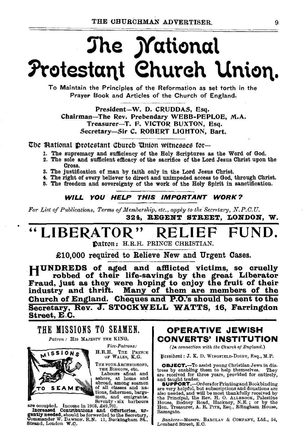# The *Mational* Protestant Church Union.

To Maintain the Principles of the Reformation as set torth in the Prayer Book and Articles of the Church of England.

President-W. D. CRUDDAS, Esq. Chairman-The Rev. Prebendary WEBB-PEPLOE, M.A. Treasurer-T. F. VICTOR BUXTON, Esq. Secretary-Sir C. ROBERT LIGHTON, Bart.

The Mational protestant Church Union witnesses for-

- 1. The supremacy and sufticiency of the Holy Scriptures as the Word of God.
- 2. The sole and sufticient efficacy of the sacrifice of the Lord Jesus Christ upon the Cross.
- 3. The justification of man by faith only in the Lord Jesus Christ.
- 4. The right of every believer to direct and unimpeded access to God, through Christ.
- 5. The freedom and sovereignty of the work of the Holy Spirit in sanctification.

#### WILL YOU HELP THIS IMPORTANT WORK?

*For List of Publications, Terms of Membership, etc., apply to the Secretary, N.P.C.U.*  324. REGENT STREET, LONDON, W.

## "LIBERATOR" RELIEF FUN

~atton: H.R.H. PRINCE CHRISTIAN.

£10,000 required to Relieve New and Urgent Cases.

HUNDREDS of aged and aftlicted victims, so cruelly robbed of their life-savings by the great Liberator Fraud, just as they were hoping to enjoy the fruit of their industry and thrift. Many of them are members of the Church of England. Cheques and P.O.'s should be sent to the Secretary, Rev. J. STOCKWELL WATTS, 16, Farringdon Street, E.C.

THE MISSIONS TO SEAMEN. *Patron :* His MAJESTY THE KING.



*Pice-Patrons:* 

H.R.H. TnE PRINCE OF WALES, K.G.

THE FOUR ARCHBISHOPS,<br>THE BISHOPS, etc.

THE BISHOPS, etc. Labours afloat and ashore, at home and abroad, among seamen of all classes and na-<br>tions, fishermen, barge-<br>men, and emigrants.<br>. men, and emigrants.<br>. men, and emigrants.

are occupied. Income in 1903, £49,701.<br>Increased Contributions and Offertories, ur-<br>gently needed, should be forwarded to the Secretary,<br>Commander W. DAWSON. R.N. 11, Buckingham St., Strand, London W.O.

#### OPERATIVE JEWISH CONVERTS' INSTITUTION

*(In connection with the Church of England.)* 

l)ltesibmt: J. K. D. WINGFIELD·DIGBY, Esq., M.P.

**OBJECT.**—To assist young Christian Jews in distress by enabling them to help themselves. They are received for three years, provided for entirely, and taught trades.<br> **SUPPORT.**—Ordersfor Printingand Bookbinding are very Ramsgate.

*Bankers-Messrs.* BARCLAY & COMPANY, Ltd., 54, Lombard Street, E.C.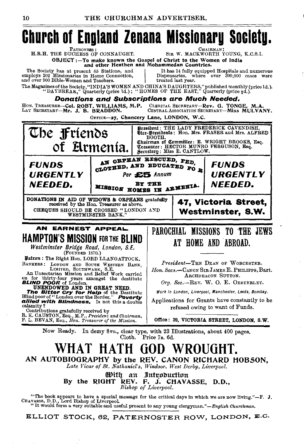# **Church of England Zenana Missionary Society.**

PATRONESS. H.R.H. THE DUCHESS OF CONNAUGHT.

**CHAIRMA** SIR W. MACKWORTH YOUNG, K.C.S.L.

OBJECT:-To make known the Gospel of Christ to the Women of India<br>and other Heathen and Mohammedan Countries.

The Society has at present 65 Stations, and employs 202 Missionaries in Home Connection. and over 900 Bible-Women and Teachers.

It has 14 fully equipped Hospitals and numerous Dispensaries, where over 300,000 cases were treated last year.

The Magazines of the Society, "INDIA'S WOMEN AND CHINA'S DAUGHTERS," published monthly (price 1d.).<br>"DAYBREAK," Quarterly (price 1d.); "HOMES OF THE EAST," Quarterly (price 4d.).

**Donations and Subscriptions are Much Needed.** 

CLERICAL SECRETARY-Rev. G. TONGE, M.A.<br>CENTRAL ASSOCIATION SECRETARY-MISS MULVANY. HON. TREASURER-Col. ROBT. WILLIAMS, M.P. LAY SECRETARY-Mr. J. B. BRADDON.

OFFICE-27, Chancery Lane, LONDON, W.C.



"The book appears to have a special message for the critical days in which we are now living."-F. J. CHAVASSE, D.D., Lord Bishop of Liverpool.<br>"It would form a very suitable and useful present to any young clergyman."-English Churchman.

ELLIOT STOCK, 62, PATERNOSTER ROW, LONDON, E.C.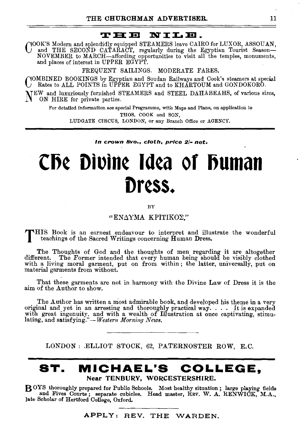## **THE NILE.**<br>WHENILE.

COOK'S Modern and splendidly equipped STEAMERS leave CAIRO for LUXOR, ASSOUAN,<br>In and THE SECOND CATARACT, regularly during the Egyptian Tourist Season—<br>NOVEMBER to MARCH—affording opportunities to visit all the temples, m

FREQUENT SAILINGS. MODERATE FARES.

COMBINED BOOKINGS by Egyptian and Soudan Railways and Cook'g steamers at special Rates to ALL POINTS in UPPER EGYPT and to KHARTOUM and GONDOKORO.

NEW and luxuriously furnished STEAMERS and STEEL DAHABEAHS, of various sizes, ON HIRE for private parties.

For detailed information see special Programme, with Maps and Plans, on application to THOS. COOK and SON, LUDGATE CIRCUS, LONDON, or any Branch Office or AGENCY.

*In crown Svo., cloth, pPice 2/· net.* 

# CD~ Otutn~ Ja~a **or Duman**  Dress.

 $\overline{R}V$ 

#### "ENAYMA KPITIKO<sub>2</sub>."

THIS Book is an earnest endeavour to interpret and illustrate the wonderful teachings of the Sacred Writings concerning Human Dress.

The Thoughts of God and the thoughts of men regarding it are altogether different. The Former intended that every human being should be visibly clothed with a living moral garment, put on from within ; the latter, universally, put on material garments from without.

That these garments are not in harmony with the Divine Law of Dress it is the aim of the Author to show.

The Author has written a most admirable book, and developed his theme in a very original and yet in an arresting and thoroughly practical way. . . . It is expanded with great ingenuity, and with a wealth of Illustration at once captivating, stimulating, and satisfying."-*Western Morning News.* 

LONDON: .ELLIOT STOCK, 62, PATERNOSTER ROW, E.C.

### **ST. MICHAEL'S COLLEGE,**  Near TENBURY, WORCESTERSHIRE.

8 OYS thoroughly prepared for Public Schools. Most healthy situation ; large playing fields and Fives Courts; separate cubicles. Head master,  $R_{EV}$ . W. A. RENWICK, M.A., at also heartford College, Oxford.

APPLY: REV. THE WARDEN.